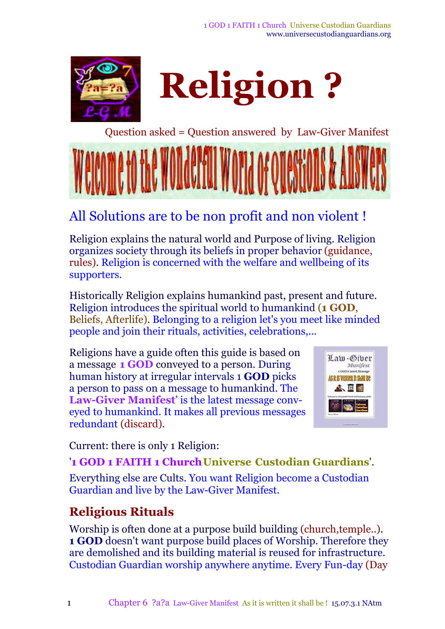

**Religion ?**

Question asked = Question answered by Law-Giver Manifest



## All Solutions are to be non profit and non violent !

Religion explains the natural world and Purpose of living. Religion organizes society through its beliefs in proper behavior (guidance, rules). Religion is concerned with the welfare and wellbeing of its supporters.

Historically Religion explains humankind past, present and future. Religion introduces the spiritual world to humankind (**1 GOD**, Beliefs, Afterlife). Belonging to a religion let's you meet like minded people and join their rituals, activities, celebrations,...

Religions have a guide often this guide is based on a message **1 GOD** conveyed to a person. During human history at irregular intervals 1 **GOD** picks a person to pass on a message to humankind. The **Law-Giver Manifest**' is the latest message conveyed to humankind. It makes all previous messages redundant (discard).



Current: there is only 1 Religion:

#### '**1 GOD 1 FAITH 1 ChurchUniverse Custodian Guardians**'.

Everything else are Cults. You want Religion become a Custodian Guardian and live by the Law-Giver Manifest.

## **Religious Rituals**

Worship is often done at a purpose build building (church,temple..). **1 GOD** doesn't want purpose build places of Worship. Therefore they are demolished and its building material is reused for infrastructure. Custodian Guardian worship anywhere anytime. Every Fun-day (Day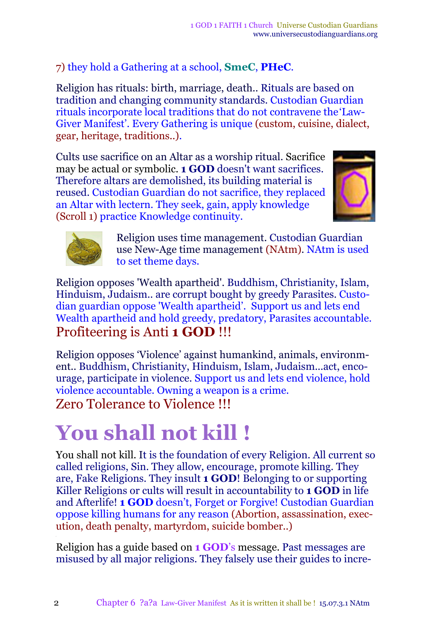#### 7) they hold a Gathering at a school, **SmeC**, **PHeC**.

Religion has rituals: birth, marriage, death.. Rituals are based on tradition and changing community standards. Custodian Guardian rituals incorporate local traditions that do not contravene the'Law-Giver Manifest'. Every Gathering is unique (custom, cuisine, dialect, gear, heritage, traditions..).

Cults use sacrifice on an Altar as a worship ritual. Sacrifice may be actual or symbolic. **1 GOD** doesn't want sacrifices. Therefore altars are demolished, its building material is reused. Custodian Guardian do not sacrifice, they replaced an Altar with lectern. They seek, gain, apply knowledge (Scroll 1) practice Knowledge continuity.





Religion uses time management. Custodian Guardian use New-Age time management (NAtm). NAtm is used to set theme days.

Religion opposes 'Wealth apartheid'. Buddhism, Christianity, Islam, Hinduism, Judaism.. are corrupt bought by greedy Parasites. Custodian guardian oppose 'Wealth apartheid'. Support us and lets end Wealth apartheid and hold greedy, predatory, Parasites accountable. Profiteering is Anti **1 GOD** !!!

Religion opposes 'Violence' against humankind, animals, environment.. Buddhism, Christianity, Hinduism, Islam, Judaism...act, encourage, participate in violence. Support us and lets end violence, hold violence accountable. Owning a weapon is a crime. Zero Tolerance to Violence !!!

# **You shall not kill !**

You shall not kill. It is the foundation of every Religion. All current so called religions, Sin. They allow, encourage, promote killing. They are, Fake Religions. They insult **1 GOD**! Belonging to or supporting Killer Religions or cults will result in accountability to **1 GOD** in life and Afterlife! **1 GOD** doesn't, Forget or Forgive! Custodian Guardian oppose killing humans for any reason (Abortion, assassination, execution, death penalty, martyrdom, suicide bomber..)

Religion has a guide based on **1 GOD**'s message. Past messages are misused by all major religions. They falsely use their guides to incre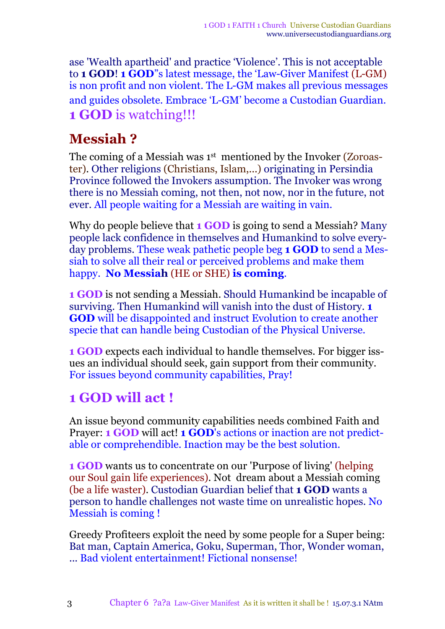ase 'Wealth apartheid' and practice 'Violence'. This is not acceptable to **1 GOD**! **1 GOD**"s latest message, the 'Law-Giver Manifest (L-GM) is non profit and non violent. The L-GM makes all previous messages and guides obsolete. Embrace 'L-GM' become a Custodian Guardian. **1 GOD** is watching!!!

### **Messiah ?**

The coming of a Messiah was  $1^\mathrm{st}$  mentioned by the Invoker (Zoroaster). Other religions (Christians, Islam,...) originating in Persindia Province followed the Invokers assumption. The Invoker was wrong there is no Messiah coming, not then, not now, nor in the future, not ever. All people waiting for a Messiah are waiting in vain.

Why do people believe that **1 GOD** is going to send a Messiah? Many people lack confidence in themselves and Humankind to solve everyday problems. These weak pathetic people beg **1 GOD** to send a Messiah to solve all their real or perceived problems and make them happy. **No Messiah** (HE or SHE) **is coming**.

**1 GOD** is not sending a Messiah. Should Humankind be incapable of surviving. Then Humankind will vanish into the dust of History. **1 GOD** will be disappointed and instruct Evolution to create another specie that can handle being Custodian of the Physical Universe.

**1 GOD** expects each individual to handle themselves. For bigger issues an individual should seek, gain support from their community. For issues beyond community capabilities, Pray!

## **1 GOD will act !**

An issue beyond community capabilities needs combined Faith and Prayer: **1 GOD** will act! **1 GOD**'s actions or inaction are not predictable or comprehendible. Inaction may be the best solution.

**1 GOD** wants us to concentrate on our 'Purpose of living' (helping our Soul gain life experiences). Not dream about a Messiah coming (be a life waster). Custodian Guardian belief that **1 GOD** wants a person to handle challenges not waste time on unrealistic hopes. No Messiah is coming !

Greedy Profiteers exploit the need by some people for a Super being: Bat man, Captain America, Goku, Superman, Thor, Wonder woman, ... Bad violent entertainment! Fictional nonsense!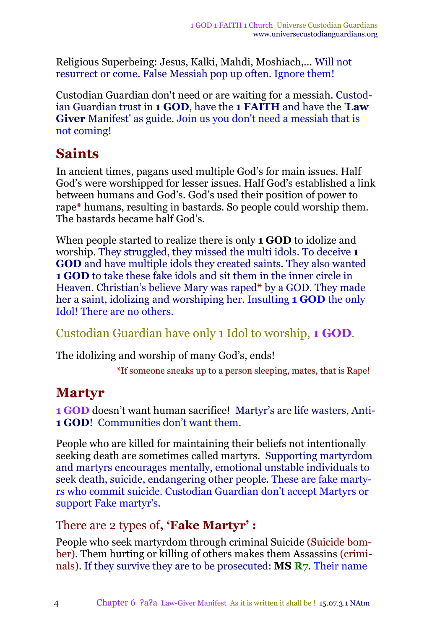Religious Superbeing: Jesus, Kalki, Mahdi, Moshiach,... Will not resurrect or come. False Messiah pop up often. Ignore them!

Custodian Guardian don't need or are waiting for a messiah. Custodian Guardian trust in **1 GOD**, have the **1 FAITH** and have the '**Law Giver** Manifest' as guide. Join us you don't need a messiah that is not coming!

## **Saints**

In ancient times, pagans used multiple God's for main issues. Half God's were worshipped for lesser issues. Half God's established a link between humans and God's. God's used their position of power to rape**\*** humans, resulting in bastards. So people could worship them. The bastards became half God's.

When people started to realize there is only **1 GOD** to idolize and worship. They struggled, they missed the multi idols. To deceive **1 GOD** and have multiple idols they created saints. They also wanted **1 GOD** to take these fake idols and sit them in the inner circle in Heaven. Christian's believe Mary was raped**\*** by a GOD. They made her a saint, idolizing and worshiping her. Insulting **1 GOD** the only Idol! There are no others.

Custodian Guardian have only 1 Idol to worship, **1 GOD**.

The idolizing and worship of many God's, ends!

**\***If someone sneaks up to a person sleeping, mates, that is Rape!

## **Martyr**

**1 GOD** doesn't want human sacrifice! Martyr's are life wasters, Anti-**1 GOD**! Communities don't want them.

People who are killed for maintaining their beliefs not intentionally seeking death are sometimes called martyrs. Supporting martyrdom and martyrs encourages mentally, emotional unstable individuals to seek death, suicide, endangering other people. These are fake martyrs who commit suicide. Custodian Guardian don't accept Martyrs or support Fake martyr's.

#### There are 2 types of**, 'Fake Martyr' :**

People who seek martyrdom through criminal Suicide (Suicide bomber). Them hurting or killing of others makes them Assassins (criminals). If they survive they are to be prosecuted: **MS R7**. Their name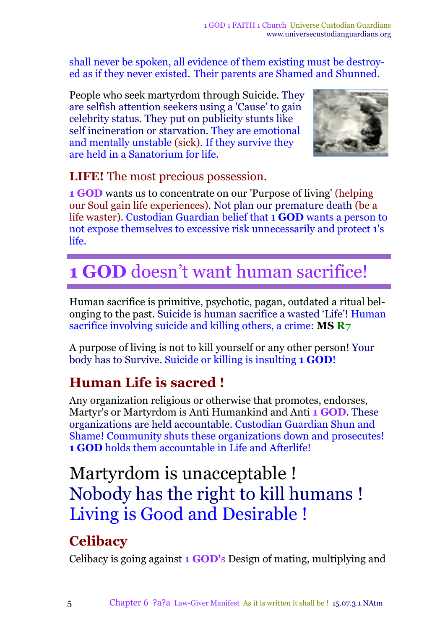shall never be spoken, all evidence of them existing must be destroyed as if they never existed. Their parents are Shamed and Shunned.

People who seek martyrdom through Suicide. They are selfish attention seekers using a 'Cause' to gain celebrity status. They put on publicity stunts like self incineration or starvation. They are emotional and mentally unstable (sick). If they survive they are held in a Sanatorium for life.



**LIFE!** The most precious possession.

**1 GOD** wants us to concentrate on our 'Purpose of living' (helping our Soul gain life experiences)*.* Not plan our premature death (be a life waster). Custodian Guardian belief that 1 **GOD** wants a person to not expose themselves to excessive risk unnecessarily and protect 1's life.

# **1 GOD** doesn't want human sacrifice!

Human sacrifice is primitive, psychotic, pagan, outdated a ritual belonging to the past. Suicide is human sacrifice a wasted 'Life'! Human sacrifice involving suicide and killing others, a crime: **MS R7**

A purpose of living is not to kill yourself or any other person! Your body has to Survive. Suicide or killing is insulting **1 GOD**!

## **Human Life is sacred !**

Any organization religious or otherwise that promotes, endorses, Martyr's or Martyrdom is Anti Humankind and Anti **1 GOD**. These organizations are held accountable. Custodian Guardian Shun and Shame! Community shuts these organizations down and prosecutes! **1 GOD** holds them accountable in Life and Afterlife!

# Martyrdom is unacceptable ! Nobody has the right to kill humans ! Living is Good and Desirable !

## **Celibacy**

Celibacy is going against **1 GOD'**s Design of mating, multiplying and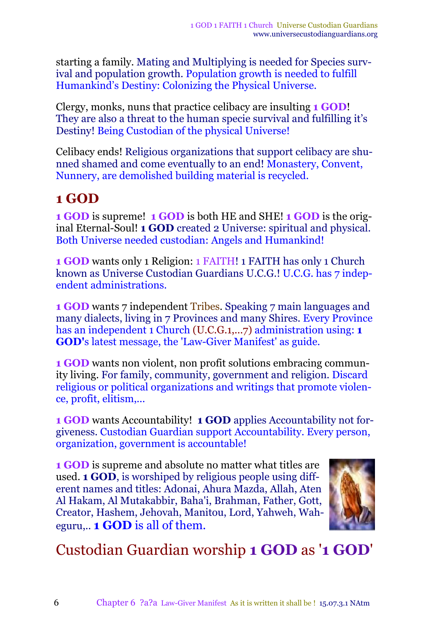starting a family. Mating and Multiplying is needed for Species survival and population growth. Population growth is needed to fulfill Humankind's Destiny: Colonizing the Physical Universe.

Clergy, monks, nuns that practice celibacy are insulting **1 GOD**! They are also a threat to the human specie survival and fulfilling it's Destiny! Being Custodian of the physical Universe!

Celibacy ends! Religious organizations that support celibacy are shunned shamed and come eventually to an end! Monastery, Convent, Nunnery, are demolished building material is recycled.

#### **1 GOD**

**1 GOD** is supreme! **1 GOD** is both HE and SHE! **1 GOD** is the original Eternal-Soul! **1 GOD** created 2 Universe: spiritual and physical. Both Universe needed custodian: Angels and Humankind!

**1 GOD** wants only 1 Religion: 1 FAITH! 1 FAITH has only 1 Church known as Universe Custodian Guardians U.C.G.! U.C.G. has 7 independent administrations.

**1 GOD** wants 7 independent Tribes. Speaking 7 main languages and many dialects, living in 7 Provinces and many Shires. Every Province has an independent 1 Church (U.C.G.1,...7) administration using: **1 GOD'**s latest message, the 'Law-Giver Manifest' as guide.

**1 GOD** wants non violent, non profit solutions embracing community living. For family, community, government and religion. Discard religious or political organizations and writings that promote violence, profit, elitism,...

**1 GOD** wants Accountability! **1 GOD** applies Accountability not forgiveness. Custodian Guardian support Accountability. Every person, organization, government is accountable!

**1 GOD** is supreme and absolute no matter what titles are used. **1 GOD**, is worshiped by religious people using different names and titles: Adonai, Ahura Mazda, Allah, Aten Al Hakam, Al Mutakabbir, Baha'i, Brahman, Father, Gott, Creator, Hashem, Jehovah, Manitou, Lord, Yahweh, Waheguru,.. **1 GOD** is all of them.



Custodian Guardian worship **1 GOD** as '**1 GOD**'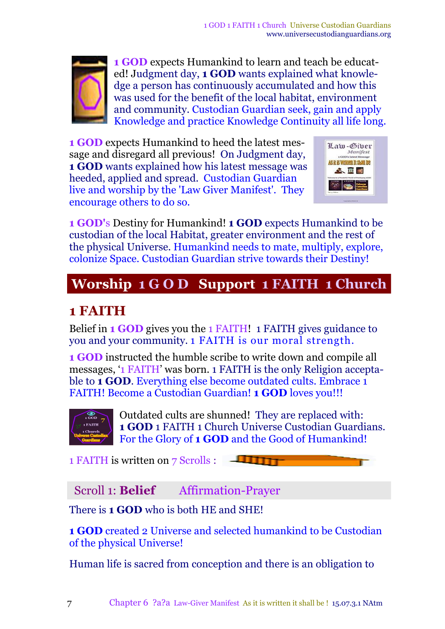

**1 GOD** expects Humankind to learn and teach be educated! Judgment day, **1 GOD** wants explained what knowledge a person has continuously accumulated and how this was used for the benefit of the local habitat, environment and community. Custodian Guardian seek, gain and apply Knowledge and practice Knowledge Continuity all life long.

**1 GOD** expects Humankind to heed the latest message and disregard all previous! On Judgment day, **1 GOD** wants explained how his latest message was heeded, applied and spread. Custodian Guardian live and worship by the 'Law Giver Manifest'. They encourage others to do so.



**1 GOD'**s Destiny for Humankind! **1 GOD** expects Humankind to be custodian of the local Habitat, greater environment and the rest of the physical Universe. Humankind needs to mate, multiply, explore, colonize Space. Custodian Guardian strive towards their Destiny!

## **Worship 1 G O D Support 1 FAITH 1 Church**

## **1 FAITH**

Belief in **1 GOD** gives you the 1 FAITH! 1 FAITH gives guidance to you and your community. 1 FAITH is our moral strength.

**1 GOD** instructed the humble scribe to write down and compile all messages, '1 FAITH' was born. 1 FAITH is the only Religion acceptable to **1 GOD**. Everything else become outdated cults. Embrace 1 FAITH! Become a Custodian Guardian! **1 GOD** loves you!!!



Outdated cults are shunned! They are replaced with: **1 GOD** 1 FAITH 1 Church Universe Custodian Guardians. For the Glory of **1 GOD** and the Good of Humankind!

1 FAITH is written on 7 Scrolls :  $\Box$ 

Scroll 1: **Belief** Affirmation-Prayer

There is **1 GOD** who is both HE and SHE!

**1 GOD** created 2 Universe and selected humankind to be Custodian of the physical Universe!

Human life is sacred from conception and there is an obligation to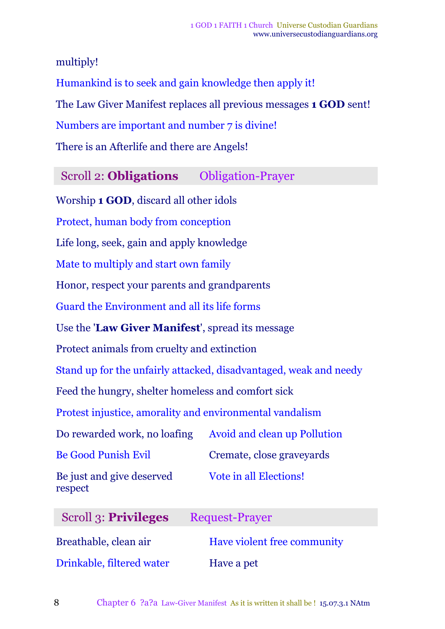multiply!

Humankind is to seek and gain knowledge then apply it! The Law Giver Manifest replaces all previous messages **1 GOD** sent! Numbers are important and number 7 is divine! There is an Afterlife and there are Angels!

Scroll 2: **Obligations** Obligation-Prayer

Worship **1 GOD**, discard all other idols Protect, human body from conception Life long, seek, gain and apply knowledge Mate to multiply and start own family Honor, respect your parents and grandparents Guard the Environment and all its life forms Use the '**Law Giver Manifest**', spread its message Protect animals from cruelty and extinction Stand up for the unfairly attacked, disadvantaged, weak and needy Feed the hungry, shelter homeless and comfort sick Protest injustice, amorality and environmental vandalism Do rewarded work, no loafing Avoid and clean up Pollution Be Good Punish Evil Cremate, close graveyards Be just and give deserved respect Vote in all Elections! Scroll 3: **Privileges** Request-Prayer Breathable, clean air **Have violent free community** 

Drinkable, filtered water Have a pet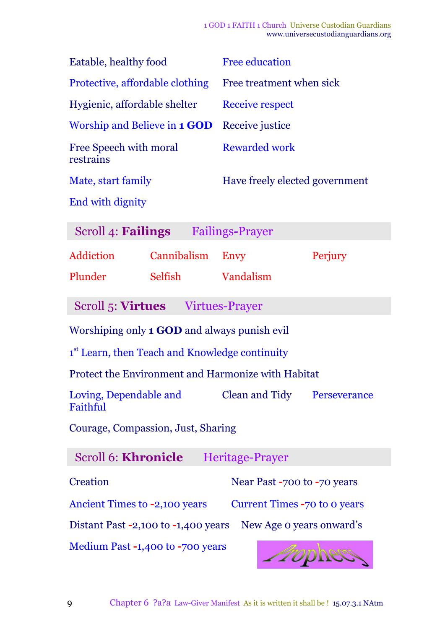| Eatable, healthy food                                           | <b>Free education</b>              |  |  |  |
|-----------------------------------------------------------------|------------------------------------|--|--|--|
| Protective, affordable clothing                                 | Free treatment when sick           |  |  |  |
| Hygienic, affordable shelter                                    | <b>Receive respect</b>             |  |  |  |
| Worship and Believe in <b>1 GOD</b>                             | Receive justice                    |  |  |  |
| <b>Free Speech with moral</b><br>restrains                      | <b>Rewarded work</b>               |  |  |  |
| Mate, start family                                              | Have freely elected government     |  |  |  |
| <b>End with dignity</b>                                         |                                    |  |  |  |
| Scroll 4: <b>Failings</b>                                       | <b>Failings-Prayer</b>             |  |  |  |
| <b>Addiction</b><br>Cannibalism                                 | Perjury<br>Envy                    |  |  |  |
| Plunder<br>Selfish                                              | Vandalism                          |  |  |  |
| Scroll 5: Virtues Virtues-Prayer                                |                                    |  |  |  |
| Worshiping only 1 GOD and always punish evil                    |                                    |  |  |  |
| 1 <sup>st</sup> Learn, then Teach and Knowledge continuity      |                                    |  |  |  |
| <b>Protect the Environment and Harmonize with Habitat</b>       |                                    |  |  |  |
| Loving, Dependable and<br>Faithful                              | <b>Clean and Tidy</b> Perseverance |  |  |  |
| Courage, Compassion, Just, Sharing                              |                                    |  |  |  |
| <b>Scroll 6: Khronicle</b>                                      | Heritage-Prayer                    |  |  |  |
| <b>Creation</b>                                                 | Near Past -700 to -70 years        |  |  |  |
| Ancient Times to -2,100 years                                   | Current Times -70 to 0 years       |  |  |  |
| Distant Past -2,100 to -1,400 years<br>New Age o years onward's |                                    |  |  |  |

Medium Past **-**1,400 to **-**700 years

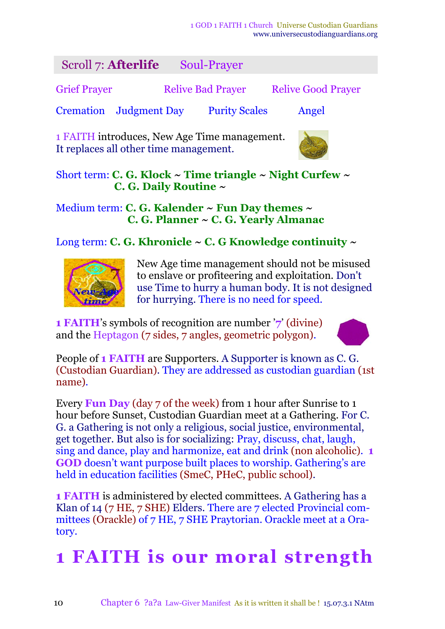| Scroll 7: Afterlife                          |  |  | Soul-Prayer              |  |                           |  |
|----------------------------------------------|--|--|--------------------------|--|---------------------------|--|
| <b>Grief Prayer</b>                          |  |  | <b>Relive Bad Prayer</b> |  | <b>Relive Good Prayer</b> |  |
| <b>Cremation</b> Judgment Day                |  |  | <b>Purity Scales</b>     |  | Angel                     |  |
| 1 FAITH introduces, New Age Time management. |  |  |                          |  |                           |  |

It replaces all other time management.



Short term: **C. G. Klock ~ Time triangle ~ Night Curfew ~ C. G. Daily Routine ~**

#### Medium term: **C. G. Kalender ~ Fun Day themes ~ C. G. Planner ~ C. G. Yearly Almanac**

Long term: **C. G. Khronicle ~ C. G Knowledge continuity ~**



New Age time management should not be misused to enslave or profiteering and exploitation. Don't use Time to hurry a human body. It is not designed for hurrying. There is no need for speed.

**1 FAITH**'s symbols of recognition are number '**7**' (divine) and the Heptagon (7 sides, 7 angles, geometric polygon).



People of **1 FAITH** are Supporters. A Supporter is known as C. G. (Custodian Guardian). They are addressed as custodian guardian (1st name)*.*

Every **Fun Day** (day 7 of the week) from 1 hour after Sunrise to 1 hour before Sunset, Custodian Guardian meet at a Gathering. For C. G. a Gathering is not only a religious, social justice, environmental, get together. But also is for socializing: Pray, discuss, chat, laugh, sing and dance, play and harmonize, eat and drink (non alcoholic). **1 GOD** doesn't want purpose built places to worship. Gathering's are held in education facilities (SmeC, PHeC, public school).

**1 FAITH** is administered by elected committees. A Gathering has a Klan of 14 (7 HE, 7 SHE) Elders. There are 7 elected Provincial committees (Orackle) of 7 HE, 7 SHE Praytorian. Orackle meet at a Oratory.

# **1 FAITH is our moral strength**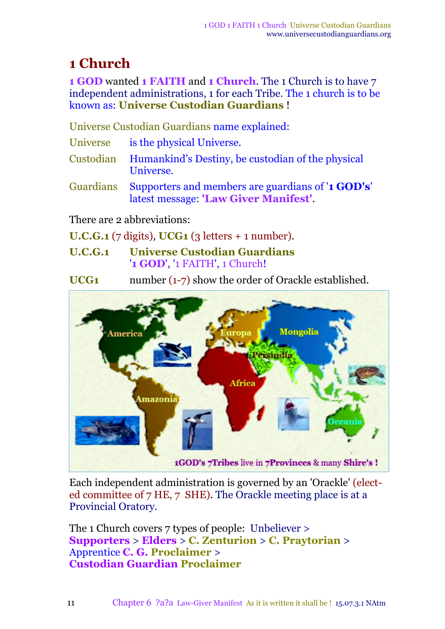## **1 Church**

**1 GOD** wanted **1 FAITH** and **1 Church**. The 1 Church is to have 7 independent administrations, 1 for each Tribe. The 1 church is to be known as: **Universe Custodian Guardians** !

Universe Custodian Guardians name explained:

| Universe | is the physical Universe. |  |
|----------|---------------------------|--|
|          |                           |  |

- Custodian Humankind's Destiny, be custodian of the physical Universe.
- Guardians Supporters and members are guardians of '**1 GOD's**' latest message: **'Law Giver Manifest'**.

There are 2 abbreviations:

**U.C.G.1** (7 digits)*,* **UCG1** (3 letters + 1 number).

**U.C.G.1 Universe Custodian Guardians** '**1 GOD**', '1 FAITH', 1 Church!

**UCG1** number (1-7) show the order of Orackle established.



Each independent administration is governed by an 'Orackle' (elected committee of 7 HE, 7 SHE). The Orackle meeting place is at a Provincial Oratory.

The 1 Church covers 7 types of people: Unbeliever > **Supporters** > **Elders** > **C. Zenturion** > **C. Praytorian** > Apprentice **C. G. Proclaimer** > **Custodian Guardian Proclaimer**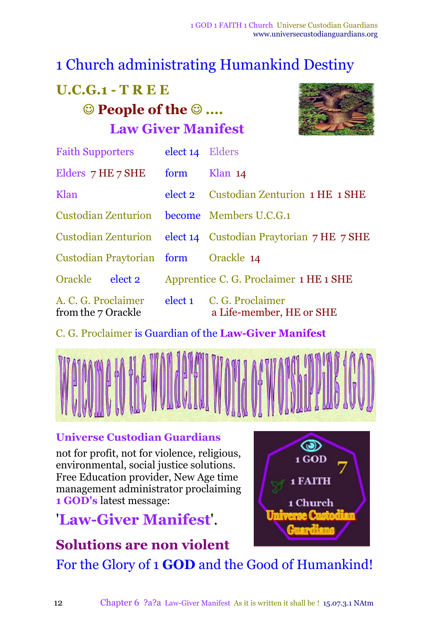## 1 Church administrating Humankind Destiny

# **U.C.G.1 - T R E E People of the .... Law Giver Manifest**



| <b>Faith Supporters</b>                    | elect 14 Elders                        |                                                              |
|--------------------------------------------|----------------------------------------|--------------------------------------------------------------|
| Elders 7 HE 7 SHE                          | form                                   | Klan $14$                                                    |
| Klan                                       |                                        | elect 2 Custodian Zenturion 1 HE 1 SHE                       |
| Custodian Zenturion become Members U.C.G.1 |                                        |                                                              |
|                                            |                                        | Custodian Zenturion elect 14 Custodian Praytorian 7 HE 7 SHE |
| Custodian Praytorian form Orackle 14       |                                        |                                                              |
| Orackle<br>elect 2                         | Apprentice C. G. Proclaimer 1 HE 1 SHE |                                                              |
| A. C. G. Proclaimer<br>from the 7 Orackle  |                                        | elect 1 C. G. Proclaimer<br>a Life-member, HE or SHE         |

C. G. Proclaimer is Guardian of the **Law-Giver Manifest**



#### **Universe Custodian Guardians**

not for profit, not for violence, religious, environmental, social justice solutions. Free Education provider, New Age time management administrator proclaiming **1 GOD's** latest message:

# '**Law-Giver Manifest**'.



### **Solutions are non violent**

For the Glory of 1 **GOD** and the Good of Humankind!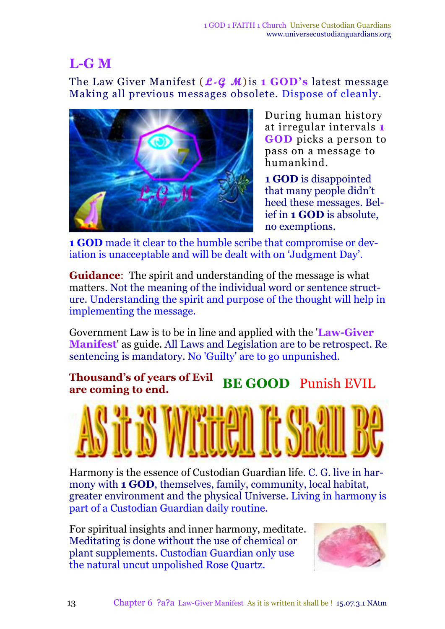### **L-G M**

The Law Giver Manifest ( **L-G M**)is **1 GOD's** latest message Making all previous messages obsolete. Dispose of cleanly.



During human history at irregular intervals **1 GOD** picks a person to pass on a message to humankind.

**1 GOD** is disappointed that many people didn't heed these messages. Belief in **1 GOD** is absolute, no exemptions.

**1 GOD** made it clear to the humble scribe that compromise or deviation is unacceptable and will be dealt with on 'Judgment Day'.

**Guidance**: The spirit and understanding of the message is what matters. Not the meaning of the individual word or sentence structure. Understanding the spirit and purpose of the thought will help in implementing the message.

Government Law is to be in line and applied with the '**Law-Giver Manifest**' as guide. All Laws and Legislation are to be retrospect. Re sentencing is mandatory. No 'Guilty' are to go unpunished.

#### **Thousand's of years of Evil are coming to end. BE GOOD** Punish EVIL



Harmony is the essence of Custodian Guardian life. C. G. live in harmony with **1 GOD**, themselves, family, community, local habitat, greater environment and the physical Universe. Living in harmony is part of a Custodian Guardian daily routine.

For spiritual insights and inner harmony, meditate. Meditating is done without the use of chemical or plant supplements. Custodian Guardian only use the natural uncut unpolished Rose Quartz.